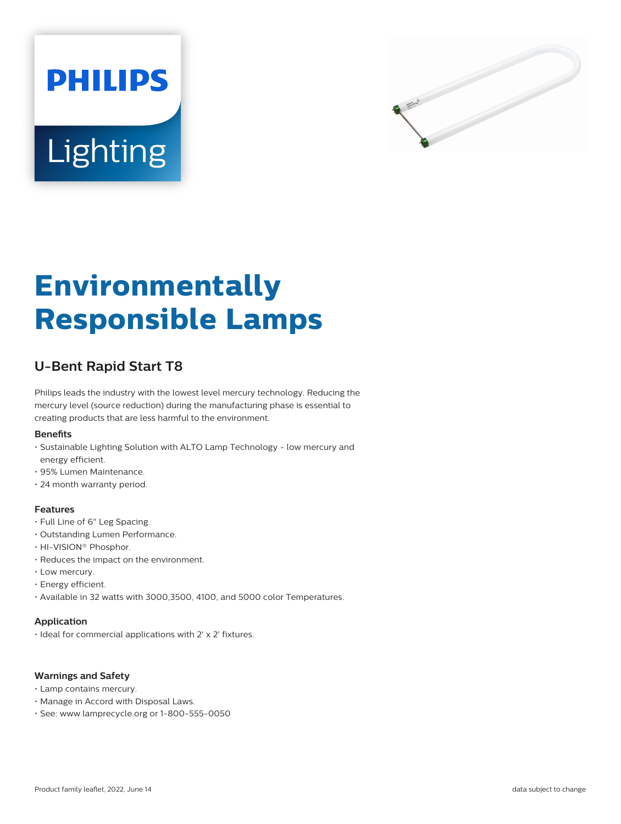



# **Environmentally Responsible Lamps**

# **U-Bent Rapid Start T8**

Philips leads the industry with the lowest level mercury technology. Reducing the mercury level (source reduction) during the manufacturing phase is essential to creating products that are less harmful to the environment.

## **Benets**

- Sustainable Lighting Solution with ALTO Lamp Technology low mercury and energy efficient.
- 95% Lumen Maintenance.
- 24 month warranty period.

## **Features**

- Full Line of 6" Leg Spacing.
- Outstanding Lumen Performance.
- HI-VISION® Phosphor.
- Reduces the impact on the environment.
- Low mercury.
- Energy efficient.
- Available in 32 watts with 3000,3500, 4100, and 5000 color Temperatures.

# **Application**

• Ideal for commercial applications with 2' x 2' fixtures.

## **Warnings and Safety**

- Lamp contains mercury.
- Manage in Accord with Disposal Laws.
- See: www.lamprecycle.org or 1-800-555-0050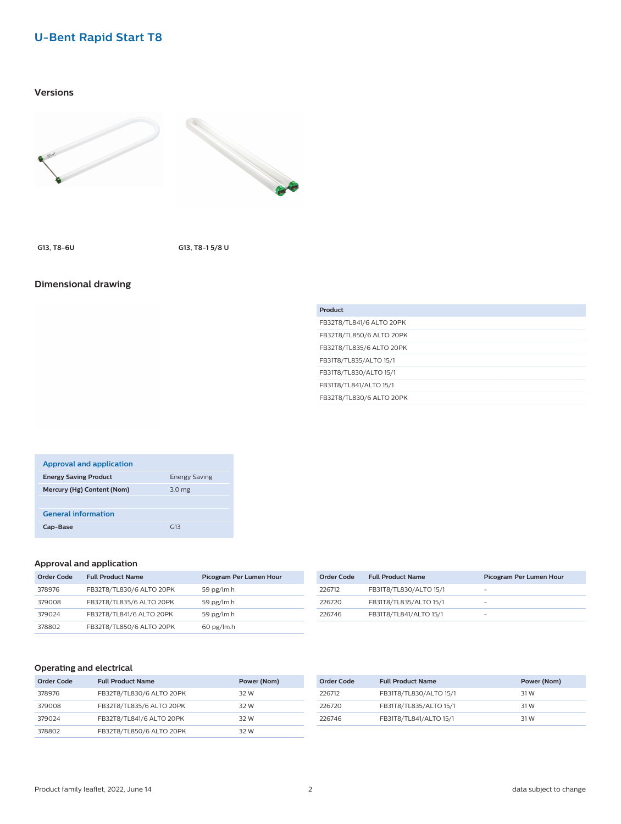# **U-Bent Rapid Start T8**

# **Versions**





**G13, T8-6U G13, T8-1 5/8 U**

# **Dimensional drawing**

| Product                  |
|--------------------------|
| FB32T8/TL841/6 ALTO 20PK |
| FB32T8/TL850/6 ALTO 20PK |
| FB32T8/TL835/6 ALTO 20PK |
| FB31T8/TL835/ALTO 15/1   |
| FB31T8/TL830/ALTO 15/1   |
| FB31T8/TL841/ALTO 15/1   |
| FB32T8/TL830/6 ALTO 20PK |

| <b>Approval and application</b> |                      |
|---------------------------------|----------------------|
| <b>Energy Saving Product</b>    | <b>Energy Saving</b> |
| Mercury (Hg) Content (Nom)      | 3.0 <sub>mg</sub>    |
|                                 |                      |
| <b>General information</b>      |                      |
| Cap-Base                        | G13                  |

# **Approval and application**

| Order Code | <b>Full Product Name</b> | Picogram Per Lumen Hour |
|------------|--------------------------|-------------------------|
| 378976     | FB32T8/TL830/6 ALTO 20PK | 59 pg/ $lm.h$           |
| 379008     | FB32T8/TL835/6 ALTO 20PK | 59 pg/ $lm.h$           |
| 379024     | FB32T8/TL841/6 ALTO 20PK | 59 pg/ $lm.h$           |
| 378802     | FB32T8/TL850/6 ALTO 20PK | $60$ pg/lm.h            |

| Order Code | <b>Full Product Name</b> | Picogram Per Lumen Hour |
|------------|--------------------------|-------------------------|
| 226712     | FB31T8/TL830/ALTO 15/1   | -                       |
| 226720     | FB31T8/TL835/ALTO 15/1   | -                       |
| 226746     | FB31T8/TL841/ALTO 15/1   | -                       |

# **Operating and electrical**

| Order Code | <b>Full Product Name</b> | Power (Nom) |
|------------|--------------------------|-------------|
| 378976     | FB32T8/TL830/6 ALTO 20PK | 32 W        |
| 379008     | FB32T8/TL835/6 ALTO 20PK | 32 W        |
| 379024     | FB32T8/TL841/6 ALTO 20PK | 32 W        |
| 378802     | FB32T8/TL850/6 ALTO 20PK | 32 W        |

| Order Code | <b>Full Product Name</b> | Power (Nom) |
|------------|--------------------------|-------------|
| 226712     | FB31T8/TL830/ALTO 15/1   | 31 W        |
| 226720     | FB31T8/TL835/ALTO 15/1   | 31 W        |
| 226746     | FB31T8/TL841/ALTO 15/1   | 31 W        |
|            |                          |             |